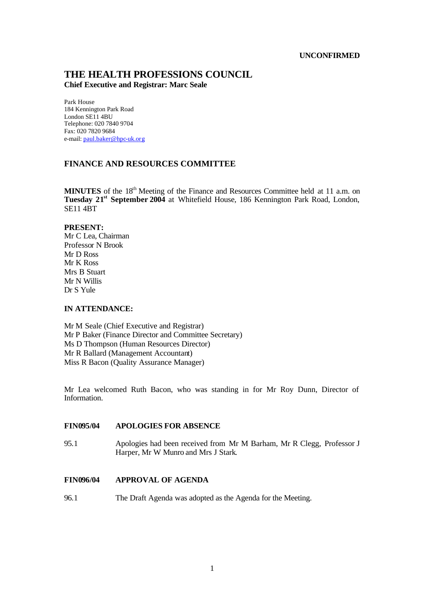### **UNCONFIRMED**

# **THE HEALTH PROFESSIONS COUNCIL**

**Chief Executive and Registrar: Marc Seale**

Park House 184 Kennington Park Road London SE11 4BU Telephone: 020 7840 9704 Fax: 020 7820 9684 e-mail: paul.baker@hpc-uk.org

# **FINANCE AND RESOURCES COMMITTEE**

MINUTES of the 18<sup>th</sup> Meeting of the Finance and Resources Committee held at 11 a.m. on **Tuesday 21st September 2004** at Whitefield House, 186 Kennington Park Road, London, SE11 4BT

### **PRESENT:**

Mr C Lea, Chairman Professor N Brook Mr D Ross Mr K Ross Mrs B Stuart Mr N Willis Dr S Yule

# **IN ATTENDANCE:**

Mr M Seale (Chief Executive and Registrar) Mr P Baker (Finance Director and Committee Secretary) Ms D Thompson (Human Resources Director) Mr R Ballard (Management Accountant) Miss R Bacon (Quality Assurance Manager)

Mr Lea welcomed Ruth Bacon, who was standing in for Mr Roy Dunn, Director of Information.

# **FIN095/04 APOLOGIES FOR ABSENCE**

95.1 Apologies had been received from Mr M Barham, Mr R Clegg, Professor J Harper, Mr W Munro and Mrs J Stark.

### **FIN096/04 APPROVAL OF AGENDA**

96.1 The Draft Agenda was adopted as the Agenda for the Meeting.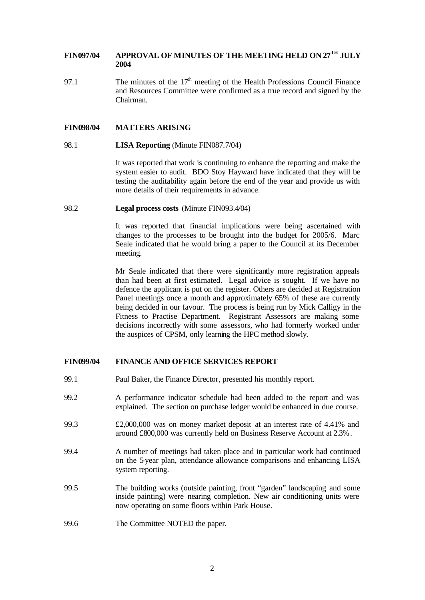# **FIN097/04 APPROVAL OF MINUTES OF THE MEETING HELD ON 27TH JULY 2004**

97.1 The minutes of the  $17<sup>th</sup>$  meeting of the Health Professions Council Finance and Resources Committee were confirmed as a true record and signed by the Chairman.

#### **FIN098/04 MATTERS ARISING**

#### 98.1 **LISA Reporting** (Minute FIN087.7/04)

It was reported that work is continuing to enhance the reporting and make the system easier to audit. BDO Stoy Hayward have indicated that they will be testing the auditability again before the end of the year and provide us with more details of their requirements in advance.

#### 98.2 **Legal process costs** (Minute FIN093.4/04)

It was reported that financial implications were being ascertained with changes to the processes to be brought into the budget for 2005/6. Marc Seale indicated that he would bring a paper to the Council at its December meeting.

Mr Seale indicated that there were significantly more registration appeals than had been at first estimated. Legal advice is sought. If we have no defence the applicant is put on the register. Others are decided at Registration Panel meetings once a month and approximately 65% of these are currently being decided in our favour. The process is being run by Mick Calligy in the Fitness to Practise Department. Registrant Assessors are making some decisions incorrectly with some assessors, who had formerly worked under the auspices of CPSM, only learning the HPC method slowly.

### **FIN099/04 FINANCE AND OFFICE SERVICES REPORT**

- 99.1 Paul Baker, the Finance Director, presented his monthly report.
- 99.2 A performance indicator schedule had been added to the report and was explained. The section on purchase ledger would be enhanced in due course.
- 99.3 £2,000,000 was on money market deposit at an interest rate of 4.41% and around £800,000 was currently held on Business Reserve Account at 2.3%.
- 99.4 A number of meetings had taken place and in particular work had continued on the 5-year plan, attendance allowance comparisons and enhancing LISA system reporting.
- 99.5 The building works (outside painting, front "garden" landscaping and some inside painting) were nearing completion. New air conditioning units were now operating on some floors within Park House.
- 99.6 The Committee NOTED the paper.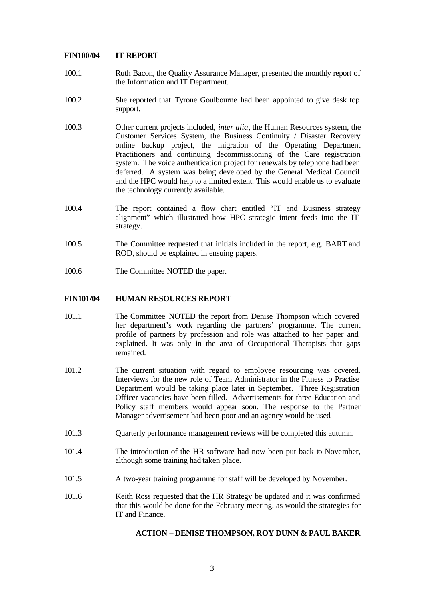# **FIN100/04 IT REPORT**

- 100.1 Ruth Bacon, the Quality Assurance Manager, presented the monthly report of the Information and IT Department.
- 100.2 She reported that Tyrone Goulbourne had been appointed to give desk top support.
- 100.3 Other current projects included, *inter alia*, the Human Resources system, the Customer Services System, the Business Continuity / Disaster Recovery online backup project, the migration of the Operating Department Practitioners and continuing decommissioning of the Care registration system. The voice authentication project for renewals by telephone had been deferred. A system was being developed by the General Medical Council and the HPC would help to a limited extent. This would enable us to evaluate the technology currently available.
- 100.4 The report contained a flow chart entitled "IT and Business strategy alignment" which illustrated how HPC strategic intent feeds into the IT strategy.
- 100.5 The Committee requested that initials included in the report, e.g. BART and ROD, should be explained in ensuing papers.
- 100.6 The Committee NOTED the paper.

#### **FIN101/04 HUMAN RESOURCES REPORT**

- 101.1 The Committee NOTED the report from Denise Thompson which covered her department's work regarding the partners' programme. The current profile of partners by profession and role was attached to her paper and explained. It was only in the area of Occupational Therapists that gaps remained.
- 101.2 The current situation with regard to employee resourcing was covered. Interviews for the new role of Team Administrator in the Fitness to Practise Department would be taking place later in September. Three Registration Officer vacancies have been filled. Advertisements for three Education and Policy staff members would appear soon. The response to the Partner Manager advertisement had been poor and an agency would be used.
- 101.3 Quarterly performance management reviews will be completed this autumn.
- 101.4 The introduction of the HR software had now been put back to November, although some training had taken place.
- 101.5 A two-year training programme for staff will be developed by November.
- 101.6 Keith Ross requested that the HR Strategy be updated and it was confirmed that this would be done for the February meeting, as would the strategies for IT and Finance.

# **ACTION – DENISE THOMPSON, ROY DUNN & PAUL BAKER**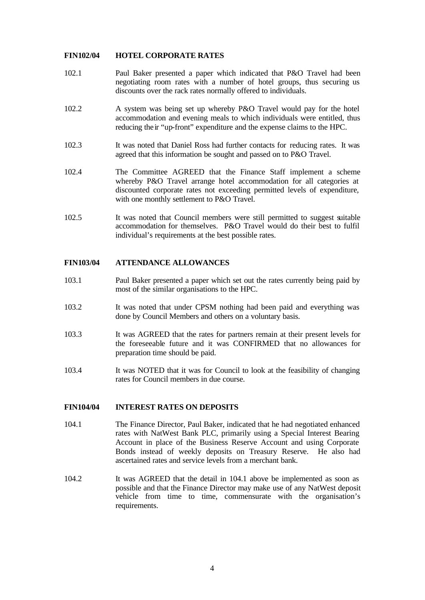# **FIN102/04 HOTEL CORPORATE RATES**

- 102.1 Paul Baker presented a paper which indicated that P&O Travel had been negotiating room rates with a number of hotel groups, thus securing us discounts over the rack rates normally offered to individuals.
- 102.2 A system was being set up whereby P&O Travel would pay for the hotel accommodation and evening meals to which individuals were entitled, thus reducing their "up-front" expenditure and the expense claims to the HPC.
- 102.3 It was noted that Daniel Ross had further contacts for reducing rates. It was agreed that this information be sought and passed on to P&O Travel.
- 102.4 The Committee AGREED that the Finance Staff implement a scheme whereby P&O Travel arrange hotel accommodation for all categories at discounted corporate rates not exceeding permitted levels of expenditure, with one monthly settlement to P&O Travel.
- 102.5 It was noted that Council members were still permitted to suggest suitable accommodation for themselves. P&O Travel would do their best to fulfil individual's requirements at the best possible rates.

# **FIN103/04 ATTENDANCE ALLOWANCES**

- 103.1 Paul Baker presented a paper which set out the rates currently being paid by most of the similar organisations to the HPC.
- 103.2 It was noted that under CPSM nothing had been paid and everything was done by Council Members and others on a voluntary basis.
- 103.3 It was AGREED that the rates for partners remain at their present levels for the foreseeable future and it was CONFIRMED that no allowances for preparation time should be paid.
- 103.4 It was NOTED that it was for Council to look at the feasibility of changing rates for Council members in due course.

### **FIN104/04 INTEREST RATES ON DEPOSITS**

- 104.1 The Finance Director, Paul Baker, indicated that he had negotiated enhanced rates with NatWest Bank PLC, primarily using a Special Interest Bearing Account in place of the Business Reserve Account and using Corporate Bonds instead of weekly deposits on Treasury Reserve. He also had ascertained rates and service levels from a merchant bank.
- 104.2 It was AGREED that the detail in 104.1 above be implemented as soon as possible and that the Finance Director may make use of any NatWest deposit vehicle from time to time, commensurate with the organisation's requirements.